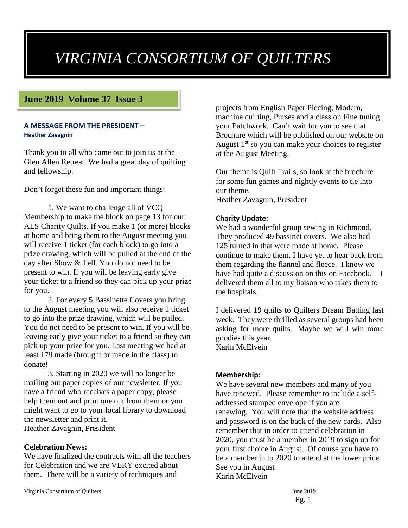# *VIRGINIA CONSORTIUM OF QUILTERS*

### **June 2019 Volume 37 Issue 3**

#### **A MESSAGE FROM THE PRESIDENT – Heather Zavagnin**

Thank you to all who came out to join us at the Glen Allen Retreat. We had a great day of quilting and fellowship.

Don't forget these fun and important things:

1. We want to challenge all of VCQ Membership to make the block on page 13 for our ALS Charity Quilts. If you make 1 (or more) blocks at home and bring them to the August meeting you will receive 1 ticket (for each block) to go into a prize drawing, which will be pulled at the end of the day after Show & Tell. You do not need to be present to win. If you will be leaving early give your ticket to a friend so they can pick up your prize for you.

2. For every 5 Bassinette Covers you bring to the August meeting you will also receive 1 ticket to go into the prize drawing, which will be pulled. You do not need to be present to win. If you will be leaving early give your ticket to a friend so they can pick up your prize for you. Last meeting we had at least 179 made (brought or made in the class) to donate!

3. Starting in 2020 we will no longer be mailing out paper copies of our newsletter. If you have a friend who receives a paper copy, please help them out and print one out from them or you might want to go to your local library to download the newsletter and print it. Heather Zavagnin, President

#### **Celebration News:**

We have finalized the contracts with all the teachers for Celebration and we are VERY excited about them. There will be a variety of techniques and

Virginia Consortium of Quilters June 2019

projects from English Paper Piecing, Modern, machine quilting, Purses and a class on Fine tuning your Patchwork. Can't wait for you to see that Brochure which will be published on our website on August  $1<sup>st</sup>$  so you can make your choices to register at the August Meeting.

Our theme is Quilt Trails, so look at the brochure for some fun games and nightly events to tie into our theme. Heather Zavagnin, President

#### **Charity Update:**

We had a wonderful group sewing in Richmond. They produced 49 bassinet covers. We also had 125 turned in that were made at home. Please continue to make them. I have yet to hear back from them regarding the flannel and fleece. I know we have had quite a discussion on this on Facebook. I delivered them all to my liaison who takes them to the hospitals.

I delivered 19 quilts to Quilters Dream Batting last week. They were thrilled as several groups had been asking for more quilts. Maybe we will win more goodies this year. Karin McElvein

#### **Membership:**

We have several new members and many of you have renewed. Please remember to include a selfaddressed stamped envelope if you are renewing. You will note that the website address and password is on the back of the new cards. Also remember that in order to attend celebration in 2020, you must be a member in 2019 to sign up for your first choice in August. Of course you have to be a member in to 2020 to attend at the lower price. See you in August Karin McElvein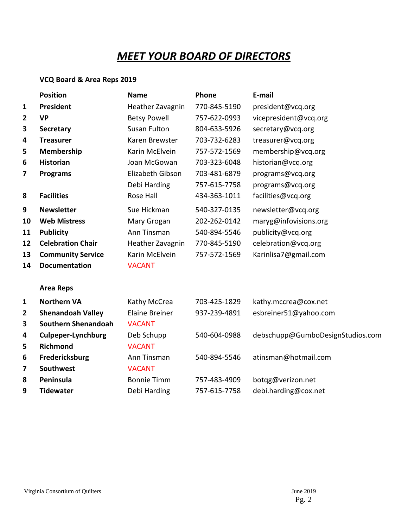# *MEET YOUR BOARD OF DIRECTORS*

## **VCQ Board & Area Reps 2019**

|    | <b>Position</b>            | <b>Name</b>           | Phone        | E-mail                           |  |  |
|----|----------------------------|-----------------------|--------------|----------------------------------|--|--|
| 1  | President                  | Heather Zavagnin      | 770-845-5190 | president@vcq.org                |  |  |
| 2  | <b>VP</b>                  | <b>Betsy Powell</b>   | 757-622-0993 | vicepresident@vcq.org            |  |  |
| 3  | <b>Secretary</b>           | <b>Susan Fulton</b>   | 804-633-5926 | secretary@vcq.org                |  |  |
| 4  | <b>Treasurer</b>           | Karen Brewster        | 703-732-6283 | treasurer@vcq.org                |  |  |
| 5  | Membership                 | Karin McElvein        | 757-572-1569 | membership@vcq.org               |  |  |
| 6  | <b>Historian</b>           | Joan McGowan          | 703-323-6048 | historian@vcq.org                |  |  |
| 7  | <b>Programs</b>            | Elizabeth Gibson      | 703-481-6879 | programs@vcq.org                 |  |  |
|    |                            | Debi Harding          | 757-615-7758 | programs@vcq.org                 |  |  |
| 8  | <b>Facilities</b>          | Rose Hall             | 434-363-1011 | facilities@vcq.org               |  |  |
| 9  | <b>Newsletter</b>          | Sue Hickman           | 540-327-0135 | newsletter@vcq.org               |  |  |
| 10 | <b>Web Mistress</b>        | Mary Grogan           | 202-262-0142 | maryg@infovisions.org            |  |  |
| 11 | <b>Publicity</b>           | Ann Tinsman           | 540-894-5546 | publicity@vcq.org                |  |  |
| 12 | <b>Celebration Chair</b>   | Heather Zavagnin      | 770-845-5190 | celebration@vcq.org              |  |  |
| 13 | <b>Community Service</b>   | Karin McElvein        | 757-572-1569 | Karinlisa7@gmail.com             |  |  |
| 14 | <b>Documentation</b>       | <b>VACANT</b>         |              |                                  |  |  |
|    | <b>Area Reps</b>           |                       |              |                                  |  |  |
| 1  | <b>Northern VA</b>         | Kathy McCrea          | 703-425-1829 | kathy.mccrea@cox.net             |  |  |
| 2  | <b>Shenandoah Valley</b>   | <b>Elaine Breiner</b> | 937-239-4891 | esbreiner51@yahoo.com            |  |  |
| 3  | <b>Southern Shenandoah</b> | <b>VACANT</b>         |              |                                  |  |  |
| 4  | <b>Culpeper-Lynchburg</b>  | Deb Schupp            | 540-604-0988 | debschupp@GumboDesignStudios.com |  |  |
| 5  | <b>Richmond</b>            | <b>VACANT</b>         |              |                                  |  |  |
| 6  | Fredericksburg             | Ann Tinsman           | 540-894-5546 | atinsman@hotmail.com             |  |  |
| 7  | <b>Southwest</b>           | <b>VACANT</b>         |              |                                  |  |  |
| 8  | Peninsula                  | <b>Bonnie Timm</b>    | 757-483-4909 | botqg@verizon.net                |  |  |
| 9  | <b>Tidewater</b>           | Debi Harding          | 757-615-7758 | debi.harding@cox.net             |  |  |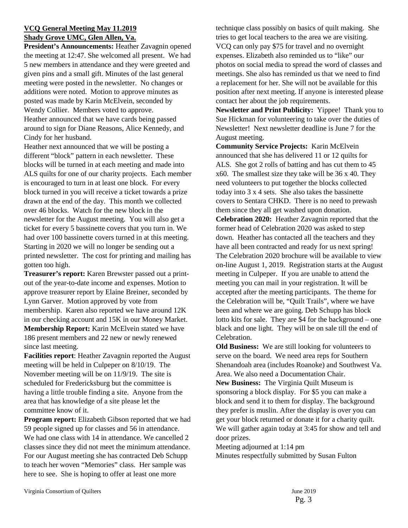#### **VCQ General Meeting May 11.2019 Shady Grove UMC, Glen Allen, Va.**

**President's Announcements:** Heather Zavagnin opened the meeting at 12:47. She welcomed all present. We had 5 new members in attendance and they were greeted and given pins and a small gift. Minutes of the last general meeting were posted in the newsletter. No changes or additions were noted. Motion to approve minutes as posted was made by Karin McElvein, seconded by Wendy Collier. Members voted to approve. Heather announced that we have cards being passed around to sign for Diane Reasons, Alice Kennedy, and Cindy for her husband.

Heather next announced that we will be posting a different "block" pattern in each newsletter. These blocks will be turned in at each meeting and made into ALS quilts for one of our charity projects. Each member is encouraged to turn in at least one block. For every block turned in you will receive a ticket towards a prize drawn at the end of the day. This month we collected over 46 blocks. Watch for the new block in the newsletter for the August meeting. You will also get a ticket for every 5 bassinette covers that you turn in. We had over 100 bassinette covers turned in at this meeting. Starting in 2020 we will no longer be sending out a printed newsletter. The cost for printing and mailing has gotten too high.

**Treasurer's report:** Karen Brewster passed out a printout of the year-to-date income and expenses. Motion to approve treasurer report by Elaine Breiner, seconded by Lynn Garver. Motion approved by vote from membership. Karen also reported we have around 12K in our checking account and 15K in our Money Market. **Membership Report:** Karin McElvein stated we have 186 present members and 22 new or newly renewed since last meeting.

**Facilities report**: Heather Zavagnin reported the August meeting will be held in Culpeper on 8/10/19. The November meeting will be on 11/9/19. The site is scheduled for Fredericksburg but the committee is having a little trouble finding a site. Anyone from the area that has knowledge of a site please let the committee know of it.

**Program report:** Elizabeth Gibson reported that we had 59 people signed up for classes and 56 in attendance. We had one class with 14 in attendance. We cancelled 2 classes since they did not meet the minimum attendance. For our August meeting she has contracted Deb Schupp to teach her woven "Memories" class. Her sample was here to see. She is hoping to offer at least one more

technique class possibly on basics of quilt making. She tries to get local teachers to the area we are visiting. VCQ can only pay \$75 for travel and no overnight expenses. Elizabeth also reminded us to "like" our photos on social media to spread the word of classes and meetings. She also has reminded us that we need to find a replacement for her. She will not be available for this position after next meeting. If anyone is interested please contact her about the job requirements.

**Newsletter and Print Publicity:** Yippee! Thank you to Sue Hickman for volunteering to take over the duties of Newsletter! Next newsletter deadline is June 7 for the August meeting.

**Community Service Projects:** Karin McElvein announced that she has delivered 11 or 12 quilts for ALS. She got 2 rolls of batting and has cut them to 45 x60. The smallest size they take will be 36 x 40. They need volunteers to put together the blocks collected today into 3 x 4 sets. She also takes the bassinette covers to Sentara CHKD. There is no need to prewash them since they all get washed upon donation. **Celebration 2020:** Heather Zavagnin reported that the former head of Celebration 2020 was asked to step down. Heather has contacted all the teachers and they have all been contracted and ready for us next spring! The Celebration 2020 brochure will be available to view on-line August 1, 2019. Registration starts at the August meeting in Culpeper. If you are unable to attend the meeting you can mail in your registration. It will be accepted after the meeting participants. The theme for the Celebration will be, "Quilt Trails", where we have been and where we are going. Deb Schupp has block lotto kits for sale. They are \$4 for the background – one black and one light. They will be on sale till the end of Celebration.

**Old Business:** We are still looking for volunteers to serve on the board. We need area reps for Southern Shenandoah area (includes Roanoke) and Southwest Va. Area. We also need a Documentation Chair. **New Business:** The Virginia Quilt Museum is

sponsoring a block display. For \$5 you can make a block and send it to them for display. The background they prefer is muslin. After the display is over you can get your block returned or donate it for a charity quilt. We will gather again today at 3:45 for show and tell and door prizes.

Meeting adjourned at 1:14 pm Minutes respectfully submitted by Susan Fulton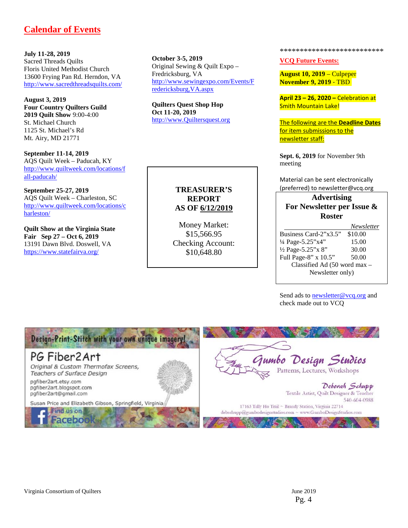## **Calendar of Events**

**July 11-28, 2019** Sacred Threads Quilts Floris United Methodist Church 13600 Frying Pan Rd. Herndon, VA <http://www.sacredthreadsquilts.com/>

**August 3, 2019 Four Country Quilters Guild 2019 Quilt Show** 9:00-4:00 St. Michael Church 1125 St. Michael's Rd Mt. Airy, MD 21771

**September 11-14, 2019** AQS Quilt Week – Paducah, KY [http://www.quiltweek.com/locations/f](http://www.quiltweek.com/locations/fall-paducah/) [all-paducah/](http://www.quiltweek.com/locations/fall-paducah/)

**September 25-27, 2019** AQS Quilt Week – Charleston, SC [http://www.quiltweek.com/locations/c](http://www.quiltweek.com/locations/charleston/) [harleston/](http://www.quiltweek.com/locations/charleston/)

**Quilt Show at the Virginia State Fair Sep 27 – Oct 6, 2019** 13191 Dawn Blvd. Doswell, VA <https://www.statefairva.org/>

**October 3-5, 2019** Original Sewing & Quilt Expo – Fredricksburg, VA [http://www.sewingexpo.com/Events/F](http://www.sewingexpo.com/Events/Fredericksburg,VA.aspx) [redericksburg,VA.aspx](http://www.sewingexpo.com/Events/Fredericksburg,VA.aspx)

**Quilters Quest Shop Hop Oct 11-20, 2019** http://www.Quiltersquest.org

#### **TREASURER'S REPORT AS OF 6/12/2019**

Money Market: \$15,566.95 Checking Account: \$10,648.80

\*\*\*\*\*\*\*\*\*\*\*\*\*\*\*\*\*\*\*\*\*\*\*\*\*\*

**VCQ Future Events:**

**August 10, 2019** – Culpeper **November 9, 2019** ‐ TBD

**April 23 – 26, 2020 –** Celebration at Smith Mountain Lake!

The following are the **Deadline Dates** for item submissions to the newsletter staff:

**Sept. 6, 2019** for November 9th meeting

Material can be sent electronically (preferred) to newsletter@vcq.org

#### **Advertising For Newsletter per Issue & Roster**

|                                         | <i>Newsletter</i> |  |  |
|-----------------------------------------|-------------------|--|--|
| Business Card-2"x3.5"                   | \$10.00           |  |  |
| 1/4 Page-5.25"x4"                       | 15.00             |  |  |
| 1/2 Page-5.25"x 8"                      | 30.00             |  |  |
| Full Page-8" x 10.5"                    | 50.00             |  |  |
| Classified Ad $(50 \text{ word } max -$ |                   |  |  |
| Newsletter only)                        |                   |  |  |

Send ads t[o newsletter@vcq.org](mailto:newsletter@vcq.org) and check made out to VCQ

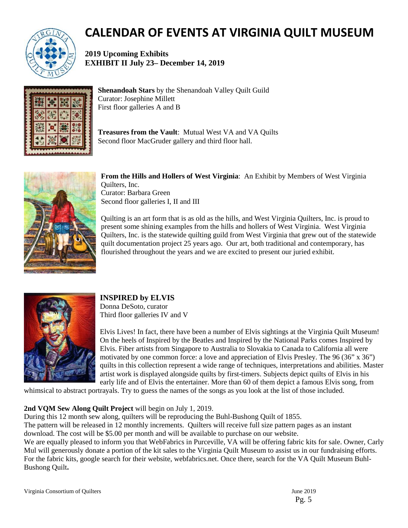

# **CALENDAR OF EVENTS AT VIRGINIA QUILT MUSEUM**

**2019 Upcoming Exhibits EXHIBIT II July 23– December 14, 2019**



**Shenandoah Stars** by the Shenandoah Valley Quilt Guild Curator: Josephine Millett First floor galleries A and B

**Treasures from the Vault**: Mutual West VA and VA Quilts Second floor MacGruder gallery and third floor hall.



**From the Hills and Hollers of West Virginia**: An Exhibit by Members of West Virginia Quilters, Inc. Curator: Barbara Green Second floor galleries I, II and III

Quilting is an art form that is as old as the hills, and West Virginia Quilters, Inc. is proud to present some shining examples from the hills and hollers of West Virginia. West Virginia Quilters, Inc. is the statewide quilting guild from West Virginia that grew out of the statewide quilt documentation project 25 years ago. Our art, both traditional and contemporary, has flourished throughout the years and we are excited to present our juried exhibit.



### **INSPIRED by ELVIS**

Donna DeSoto, curator Third floor galleries IV and V

Elvis Lives! In fact, there have been a number of Elvis sightings at the Virginia Quilt Museum! On the heels of Inspired by the Beatles and Inspired by the National Parks comes Inspired by Elvis. Fiber artists from Singapore to Australia to Slovakia to Canada to California all were motivated by one common force: a love and appreciation of Elvis Presley. The 96 (36" x 36") quilts in this collection represent a wide range of techniques, interpretations and abilities. Master artist work is displayed alongside quilts by first-timers. Subjects depict quilts of Elvis in his early life and of Elvis the entertainer. More than 60 of them depict a famous Elvis song, from

whimsical to abstract portrayals. Try to guess the names of the songs as you look at the list of those included.

#### **2nd VQM Sew Along Quilt Project** will begin on July 1, 2019.

During this 12 month sew along, quilters will be reproducing the Buhl-Bushong Quilt of 1855. The pattern will be released in 12 monthly increments. Quilters will receive full size pattern pages as an instant download. The cost will be \$5.00 per month and will be available to purchase on our website. We are equally pleased to inform you that WebFabrics in Purceville, VA will be offering fabric kits for sale. Owner, Carly Mul will generously donate a portion of the kit sales to the Virginia Quilt Museum to assist us in our fundraising efforts. For the fabric kits, google search for their website, webfabrics.net. Once there, search for the VA Quilt Museum Buhl-Bushong Quilt**.** 

Virginia Consortium of Quilters June 2019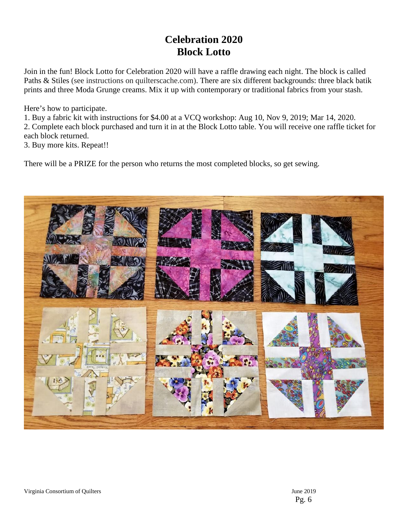# **Celebration 2020 Block Lotto**

Join in the fun! Block Lotto for Celebration 2020 will have a raffle drawing each night. The block is called Paths & Stiles (see instructions on quilterscache.com). There are six different backgrounds: three black batik prints and three Moda Grunge creams. Mix it up with contemporary or traditional fabrics from your stash.

Here's how to participate.

1. Buy a fabric kit with instructions for \$4.00 at a VCQ workshop: Aug 10, Nov 9, 2019; Mar 14, 2020.

2. Complete each block purchased and turn it in at the Block Lotto table. You will receive one raffle ticket for each block returned.

3. Buy more kits. Repeat!!

There will be a PRIZE for the person who returns the most completed blocks, so get sewing.

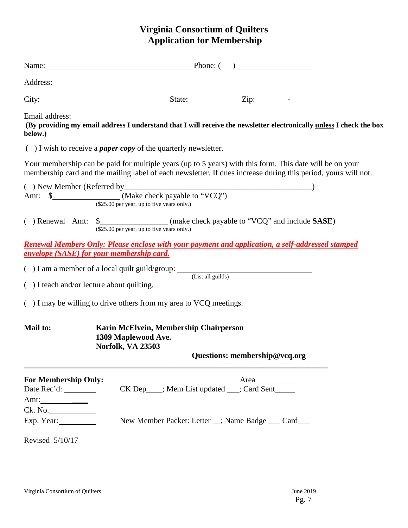# **Virginia Consortium of Quilters Application for Membership**

| (By providing my email address I understand that I will receive the newsletter electronically unless I check the box<br>below.)                                                                                                                                                                                                                                                                                                                                                                                               |                                                                                                                                                                                                                            |  |  |  |  |  |  |  |
|-------------------------------------------------------------------------------------------------------------------------------------------------------------------------------------------------------------------------------------------------------------------------------------------------------------------------------------------------------------------------------------------------------------------------------------------------------------------------------------------------------------------------------|----------------------------------------------------------------------------------------------------------------------------------------------------------------------------------------------------------------------------|--|--|--|--|--|--|--|
|                                                                                                                                                                                                                                                                                                                                                                                                                                                                                                                               | $( )$ I wish to receive a <i>paper copy</i> of the quarterly newsletter.                                                                                                                                                   |  |  |  |  |  |  |  |
|                                                                                                                                                                                                                                                                                                                                                                                                                                                                                                                               | Your membership can be paid for multiple years (up to 5 years) with this form. This date will be on your<br>membership card and the mailing label of each newsletter. If dues increase during this period, yours will not. |  |  |  |  |  |  |  |
| $(\$25.00$ per year, up to five years only.)                                                                                                                                                                                                                                                                                                                                                                                                                                                                                  |                                                                                                                                                                                                                            |  |  |  |  |  |  |  |
|                                                                                                                                                                                                                                                                                                                                                                                                                                                                                                                               | (\$25.00 per year, up to five years only.)                                                                                                                                                                                 |  |  |  |  |  |  |  |
| <u><b>Renewal Members Only: Please enclose with your payment and application, a self-addressed stamped</b></u><br>envelope (SASE) for your membership card.                                                                                                                                                                                                                                                                                                                                                                   |                                                                                                                                                                                                                            |  |  |  |  |  |  |  |
|                                                                                                                                                                                                                                                                                                                                                                                                                                                                                                                               | $( ) I$ am a member of a local quilt guild/group: $($ List all guilds)                                                                                                                                                     |  |  |  |  |  |  |  |
| () I teach and/or lecture about quilting.                                                                                                                                                                                                                                                                                                                                                                                                                                                                                     |                                                                                                                                                                                                                            |  |  |  |  |  |  |  |
| $($ ) I may be willing to drive others from my area to VCQ meetings.                                                                                                                                                                                                                                                                                                                                                                                                                                                          |                                                                                                                                                                                                                            |  |  |  |  |  |  |  |
| <b>Mail to:</b>                                                                                                                                                                                                                                                                                                                                                                                                                                                                                                               | Karin McElvein, Membership Chairperson<br>1309 Maplewood Ave.<br><b>Norfolk, VA 23503</b><br>Questions: membership@vcq.org                                                                                                 |  |  |  |  |  |  |  |
| <b>For Membership Only:</b><br>Amt: $\frac{1}{\sqrt{1-\frac{1}{2}} \cdot \frac{1}{\sqrt{1-\frac{1}{2}} \cdot \frac{1}{\sqrt{1-\frac{1}{2}} \cdot \frac{1}{\sqrt{1-\frac{1}{2}} \cdot \frac{1}{\sqrt{1-\frac{1}{2}} \cdot \frac{1}{\sqrt{1-\frac{1}{2}} \cdot \frac{1}{\sqrt{1-\frac{1}{2}} \cdot \frac{1}{\sqrt{1-\frac{1}{2}} \cdot \frac{1}{\sqrt{1-\frac{1}{2}} \cdot \frac{1}{\sqrt{1-\frac{1}{2}} \cdot \frac{1}{\sqrt{1-\frac{1}{2}} \cdot \frac{1}{\sqrt{1-\frac{1}{2}} \$<br>Ck. No.<br>Exp. Year:<br>Revised 5/10/17 | CK Dep___; Mem List updated __; Card Sent_____<br>New Member Packet: Letter _; Name Badge __ Card__                                                                                                                        |  |  |  |  |  |  |  |
|                                                                                                                                                                                                                                                                                                                                                                                                                                                                                                                               |                                                                                                                                                                                                                            |  |  |  |  |  |  |  |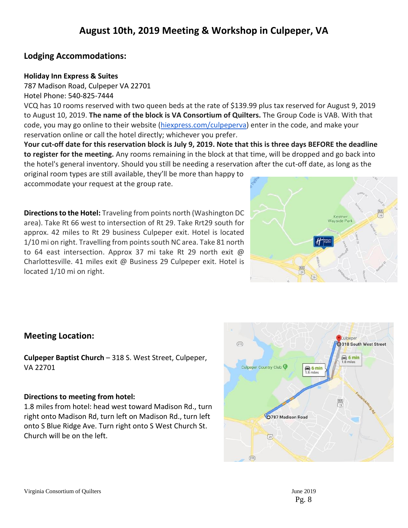# **Lodging Accommodations:**

#### **Holiday Inn Express & Suites**

[787 Madison Road, Culpeper VA 22701](https://maps.google.com/?q=787+Madison+Road,+Culpeper+VA+22701&entry=gmail&source=g) Hotel Phone: 540-825-7444

VCQ has 10 rooms reserved with two queen beds at the rate of \$139.99 plus tax reserved for August 9, 2019 to August 10, 2019. **The name of the block is VA Consortium of Quilters.** The Group Code is VAB. With that code, you may go online to their website [\(hiexpress.com/culpeperva\)](http://hiexpress.com/culpeperva) enter in the code, and make your reservation online or call the hotel directly; whichever you prefer.

**Your cut-off date for this reservation block is July 9, 2019. Note that this is three days BEFORE the deadline to register for the meeting.** Any rooms remaining in the block at that time, will be dropped and go back into the hotel's general inventory. Should you still be needing a reservation after the cut-off date, as long as the

original room types are still available, they'll be more than happy to accommodate your request at the group rate.

**Directions to the Hotel:** Traveling from points north (Washington DC area). Take Rt 66 west to intersection of Rt 29. Take Rrt29 south for approx. 42 miles to Rt 29 business Culpeper exit. Hotel is located 1/10 mi on right. Travelling from points south NC area. Take 81 north to 64 east intersection. Approx 37 mi take Rt 29 north exit @ Charlottesville. 41 miles exit @ Business 29 Culpeper exit. Hotel is located 1/10 mi on right.



# **Meeting Location:**

**Culpeper Baptist Church** – 318 S. West Street, Culpeper, VA 22701

#### **Directions to meeting from hotel:**

1.8 miles from hotel: head west toward Madison Rd., turn right onto Madison Rd, turn left on Madison Rd., turn left onto S Blue Ridge Ave. Turn right onto S West Church St. Church will be on the left.

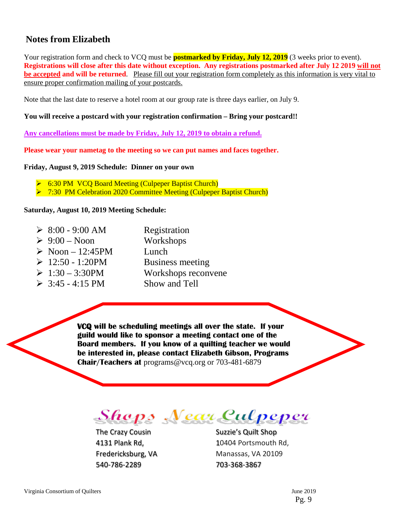# **Notes from Elizabeth**

Your registration form and check to VCQ must be **postmarked by Friday, July 12, 2019** (3 weeks prior to event). **Registrations will close after this date without exception. Any registrations postmarked after July 12 2019 will not be accepted and will be returned**. Please fill out your registration form completely as this information is very vital to ensure proper confirmation mailing of your postcards.

Note that the last date to reserve a hotel room at our group rate is three days earlier, on July 9.

#### **You will receive a postcard with your registration confirmation – Bring your postcard!!**

**Any cancellations must be made by Friday, July 12, 2019 to obtain a refund.**

**Please wear your nametag to the meeting so we can put names and faces together.**

#### **Friday, August 9, 2019 Schedule: Dinner on your own**

**► 6:30 PM VCQ Board Meeting (Culpeper Baptist Church)** 

**► 7:30 PM Celebration 2020 Committee Meeting (Culpeper Baptist Church)** 

#### **Saturday, August 10, 2019 Meeting Schedule:**

 $\geq 8:00 - 9:00$  AM Registration  $\geq 9:00$  – Noon Workshops  $\triangleright$  Noon – 12:45PM Lunch  $\geq 12:50 - 1:20$ PM Business meeting  $\geq 1:30 - 3:30$ PM Workshops reconvene  $\geq 3:45 - 4:15 \text{ PM}$  Show and Tell

> **VCQ will be scheduling meetings all over the state. If your guild would like to sponsor a meeting contact one of the Board members. If you know of a quilting teacher we would be interested in, please contact Elizabeth Gibson, Programs Chair/Teachers at** programs@vcq.org or 703-481-6879

**Shops Near Culpeper** 

The Crazy Cousin Suzzie's Quilt Shop 540-786-2289 703-368-3867

4131 Plank Rd, 10404 Portsmouth Rd, Fredericksburg, VA Manassas, VA 20109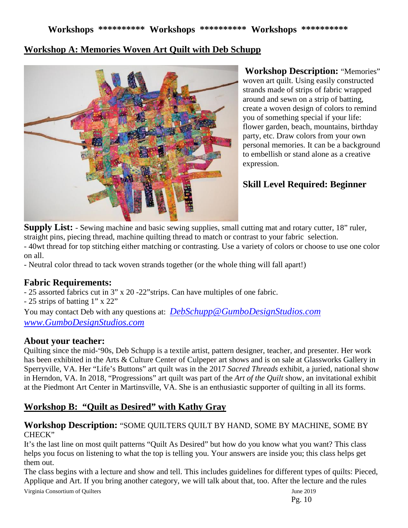# **Workshop A: Memories Woven Art Quilt with Deb Schupp**



**Workshop Description:** "Memories" woven art quilt. Using easily constructed strands made of strips of fabric wrapped around and sewn on a strip of batting, create a woven design of colors to remind you of something special if your life: flower garden, beach, mountains, birthday party, etc. Draw colors from your own personal memories. It can be a background to embellish or stand alone as a creative expression.

# **Skill Level Required: Beginner**

**Supply List:** - Sewing machine and basic sewing supplies, small cutting mat and rotary cutter, 18" ruler, straight pins, piecing thread, machine quilting thread to match or contrast to your fabric selection.

- 40wt thread for top stitching either matching or contrasting. Use a variety of colors or choose to use one color on all.

- Neutral color thread to tack woven strands together (or the whole thing will fall apart!)

# **Fabric Requirements:**

- 25 assorted fabrics cut in 3" x 20 -22"strips. Can have multiples of one fabric.

- 25 strips of batting 1" x 22"

You may contact Deb with any questions at: *[DebSchupp@GumboDesignStudios.com](mailto:DebSchupp@GumboDesignStudios.com)  [www.GumboDesignStudios.com](http://www.gumbodesignstudios.com/)*

### **About your teacher:**

Quilting since the mid-'90s, Deb Schupp is a textile artist, pattern designer, teacher, and presenter. Her work has been exhibited in the Arts & Culture Center of Culpeper art shows and is on sale at Glassworks Gallery in Sperryville, VA. Her "Life's Buttons" art quilt was in the 2017 *Sacred Threads* exhibit, a juried, national show in Herndon, VA. In 2018, "Progressions" art quilt was part of the *Art of the Quilt* show, an invitational exhibit at the Piedmont Art Center in Martinsville, VA. She is an enthusiastic supporter of quilting in all its forms.

# **Workshop B: "Quilt as Desired" with Kathy Gray**

#### **Workshop Description:** "SOME QUILTERS QUILT BY HAND, SOME BY MACHINE, SOME BY CHECK"

It's the last line on most quilt patterns "Quilt As Desired" but how do you know what you want? This class helps you focus on listening to what the top is telling you. Your answers are inside you; this class helps get them out.

The class begins with a lecture and show and tell. This includes guidelines for different types of quilts: Pieced, Applique and Art. If you bring another category, we will talk about that, too. After the lecture and the rules

Virginia Consortium of Quilters June 2019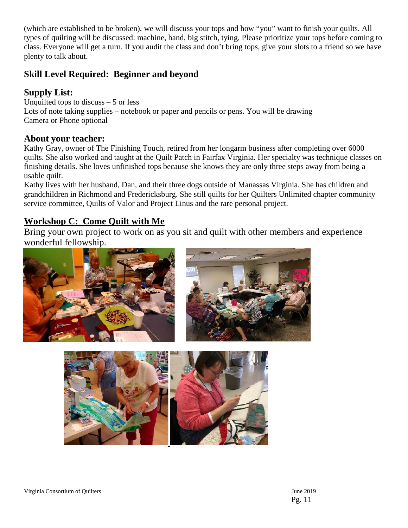(which are established to be broken), we will discuss your tops and how "you" want to finish your quilts. All types of quilting will be discussed: machine, hand, big stitch, tying. Please prioritize your tops before coming to class. Everyone will get a turn. If you audit the class and don't bring tops, give your slots to a friend so we have plenty to talk about.

# **Skill Level Required: Beginner and beyond**

# **Supply List:**

Unquilted tops to discuss  $-5$  or less Lots of note taking supplies – notebook or paper and pencils or pens. You will be drawing Camera or Phone optional

# **About your teacher:**

Kathy Gray, owner of The Finishing Touch, retired from her longarm business after completing over 6000 quilts. She also worked and taught at the Quilt Patch in Fairfax Virginia. Her specialty was technique classes on finishing details. She loves unfinished tops because she knows they are only three steps away from being a usable quilt.

Kathy lives with her husband, Dan, and their three dogs outside of Manassas Virginia. She has children and grandchildren in Richmond and Fredericksburg. She still quilts for her Quilters Unlimited chapter community service committee, Quilts of Valor and Project Linus and the rare personal project.

# **Workshop C: Come Quilt with Me**

Bring your own project to work on as you sit and quilt with other members and experience wonderful fellowship.





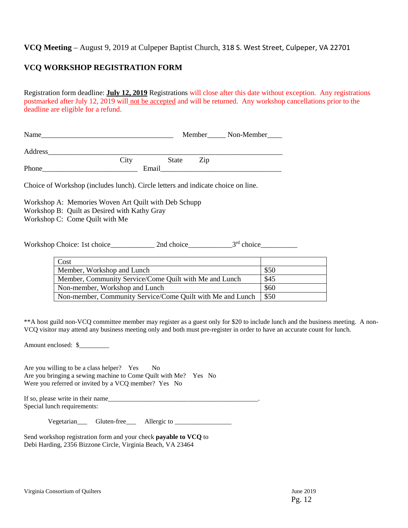#### **VCQ Meeting** – August 9, 2019 at Culpeper Baptist Church, 318 S. West Street, Culpeper, VA 22701

#### **VCQ WORKSHOP REGISTRATION FORM**

Registration form deadline: **July 12, 2019** Registrations will close after this date without exception. Any registrations postmarked after July 12, 2019 will not be accepted and will be returned. Any workshop cancellations prior to the deadline are eligible for a refund.

| Name    |       |       | Member | Non-Member |
|---------|-------|-------|--------|------------|
| Address |       |       |        |            |
|         | City  | State | Zip    |            |
| Phone   | Email |       |        |            |

Choice of Workshop (includes lunch). Circle letters and indicate choice on line.

Workshop A: Memories Woven Art Quilt with Deb Schupp Workshop B: Quilt as Desired with Kathy Gray Workshop C: Come Quilt with Me

Workshop Choice: 1st choice\_\_\_\_\_\_\_\_\_\_\_\_\_\_ 2nd choice\_\_\_\_\_\_\_\_\_\_\_\_\_\_\_\_\_\_\_\_\_\_3<sup>rd</sup> choice

| Cost                                                       |      |
|------------------------------------------------------------|------|
| Member, Workshop and Lunch                                 | \$50 |
| Member, Community Service/Come Quilt with Me and Lunch     | \$45 |
| Non-member, Workshop and Lunch                             | \$60 |
| Non-member, Community Service/Come Quilt with Me and Lunch | \$50 |

\*\*A host guild non-VCQ committee member may register as a guest only for \$20 to include lunch and the business meeting. A non-VCQ visitor may attend any business meeting only and both must pre-register in order to have an accurate count for lunch.

Amount enclosed: \$\_\_\_\_\_\_\_\_\_

Are you willing to be a class helper? Yes No Are you bringing a sewing machine to Come Quilt with Me? Yes No Were you referred or invited by a VCQ member? Yes No

If so, please write in their name\_\_\_\_\_\_\_\_\_\_\_\_\_\_\_\_\_\_\_\_\_\_\_\_\_\_\_\_\_\_\_\_\_\_\_\_\_\_\_\_\_\_\_\_\_. Special lunch requirements:

Vegetarian\_\_\_ Gluten-free\_\_\_ Allergic to \_\_\_\_\_\_\_\_\_\_\_\_\_\_\_\_\_

Send workshop registration form and your check **payable to VCQ** to Debi Harding, 2356 Bizzone Circle, Virginia Beach, VA 23464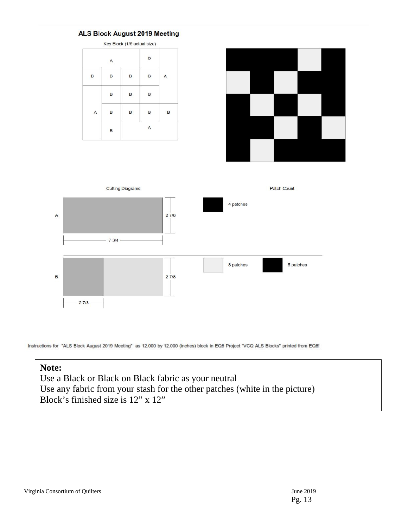







Instructions for "ALS Block August 2019 Meeting" as 12.000 by 12.000 (inches) block in EQ8 Project "VCQ ALS Blocks" printed from EQ8!

### **Note:**

Use a Black or Black on Black fabric as your neutral Use any fabric from your stash for the other patches (white in the picture) Block's finished size is 12" x 12"